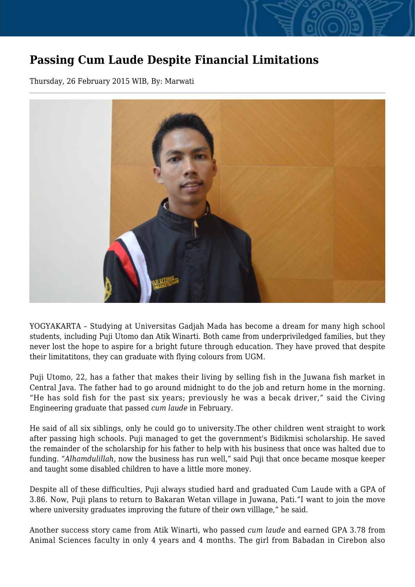## **Passing Cum Laude Despite Financial Limitations**

Thursday, 26 February 2015 WIB, By: Marwati



YOGYAKARTA – Studying at Universitas Gadjah Mada has become a dream for many high school students, including Puji Utomo dan Atik Winarti. Both came from underpriviledged families, but they never lost the hope to aspire for a bright future through education. They have proved that despite their limitatitons, they can graduate with flying colours from UGM.

Puji Utomo, 22, has a father that makes their living by selling fish in the Juwana fish market in Central Java. The father had to go around midnight to do the job and return home in the morning. "He has sold fish for the past six years; previously he was a becak driver," said the Civing Engineering graduate that passed *cum laude* in February.

He said of all six siblings, only he could go to university.The other children went straight to work after passing high schools. Puji managed to get the government's Bidikmisi scholarship. He saved the remainder of the scholarship for his father to help with his business that once was halted due to funding. "*Alhamdulillah*, now the business has run well," said Puji that once became mosque keeper and taught some disabled children to have a little more money.

Despite all of these difficulties, Puji always studied hard and graduated Cum Laude with a GPA of 3.86. Now, Puji plans to return to Bakaran Wetan village in Juwana, Pati."I want to join the move where university graduates improving the future of their own villlage," he said.

Another success story came from Atik Winarti, who passed *cum laude* and earned GPA 3.78 from Animal Sciences faculty in only 4 years and 4 months. The girl from Babadan in Cirebon also